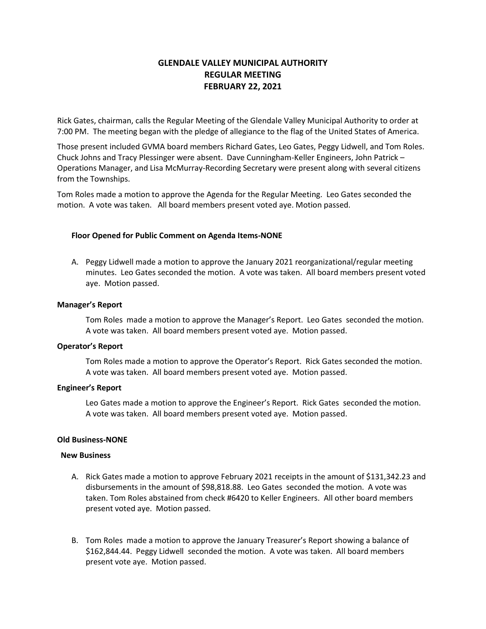# **GLENDALE VALLEY MUNICIPAL AUTHORITY REGULAR MEETING FEBRUARY 22, 2021**

Rick Gates, chairman, calls the Regular Meeting of the Glendale Valley Municipal Authority to order at 7:00 PM. The meeting began with the pledge of allegiance to the flag of the United States of America.

Those present included GVMA board members Richard Gates, Leo Gates, Peggy Lidwell, and Tom Roles. Chuck Johns and Tracy Plessinger were absent. Dave Cunningham-Keller Engineers, John Patrick – Operations Manager, and Lisa McMurray-Recording Secretary were present along with several citizens from the Townships.

Tom Roles made a motion to approve the Agenda for the Regular Meeting. Leo Gates seconded the motion. A vote was taken. All board members present voted aye. Motion passed.

# **Floor Opened for Public Comment on Agenda Items-NONE**

A. Peggy Lidwell made a motion to approve the January 2021 reorganizational/regular meeting minutes. Leo Gates seconded the motion. A vote was taken. All board members present voted aye. Motion passed.

### **Manager's Report**

Tom Roles made a motion to approve the Manager's Report. Leo Gates seconded the motion. A vote was taken. All board members present voted aye. Motion passed.

### **Operator's Report**

Tom Roles made a motion to approve the Operator's Report. Rick Gates seconded the motion. A vote was taken. All board members present voted aye. Motion passed.

### **Engineer's Report**

Leo Gates made a motion to approve the Engineer's Report. Rick Gates seconded the motion. A vote was taken. All board members present voted aye. Motion passed.

### **Old Business-NONE**

#### **New Business**

- A. Rick Gates made a motion to approve February 2021 receipts in the amount of \$131,342.23 and disbursements in the amount of \$98,818.88. Leo Gates seconded the motion. A vote was taken. Tom Roles abstained from check #6420 to Keller Engineers. All other board members present voted aye. Motion passed.
- B. Tom Roles made a motion to approve the January Treasurer's Report showing a balance of \$162,844.44. Peggy Lidwell seconded the motion. A vote was taken. All board members present vote aye. Motion passed.